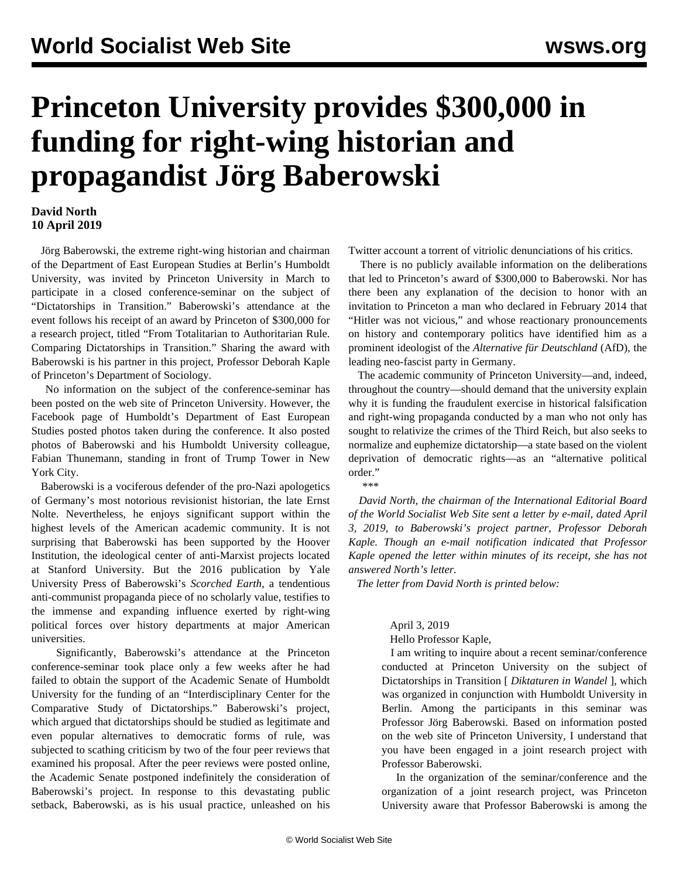## **Princeton University provides \$300,000 in funding for right-wing historian and propagandist Jörg Baberowski**

## **David North 10 April 2019**

 Jörg Baberowski, the extreme right-wing historian and chairman of the Department of East European Studies at Berlin's Humboldt University, was invited by Princeton University in March to participate in a closed conference-seminar on the subject of "Dictatorships in Transition." Baberowski's attendance at the event follows his receipt of an award by Princeton of \$300,000 for a research project, titled "From Totalitarian to Authoritarian Rule. Comparing Dictatorships in Transition." Sharing the award with Baberowski is his partner in this project, Professor Deborah Kaple of Princeton's Department of Sociology.

 No information on the subject of the conference-seminar has been posted on the web site of Princeton University. However, the Facebook page of Humboldt's Department of East European Studies posted photos taken during the conference. It also posted photos of Baberowski and his Humboldt University colleague, Fabian Thunemann, standing in front of Trump Tower in New York City.

 Baberowski is a vociferous defender of the pro-Nazi apologetics of Germany's most notorious revisionist historian, the late Ernst Nolte. Nevertheless, he enjoys significant support within the highest levels of the American academic community. It is not surprising that Baberowski has been supported by the Hoover Institution, the ideological center of anti-Marxist projects located at Stanford University. But the 2016 publication by Yale University Press of Baberowski's *Scorched Earth*, a tendentious anti-communist propaganda piece of no scholarly value, testifies to the immense and expanding influence exerted by right-wing political forces over history departments at major American universities.

 Significantly, Baberowski's attendance at the Princeton conference-seminar took place only a few weeks after he had failed to obtain the support of the Academic Senate of Humboldt University for the funding of an "Interdisciplinary Center for the Comparative Study of Dictatorships." Baberowski's project, which argued that dictatorships should be studied as legitimate and even popular alternatives to democratic forms of rule, was subjected to scathing criticism by two of the four peer reviews that examined his proposal. After the peer reviews were posted online, the Academic Senate postponed indefinitely the consideration of Baberowski's project. In response to this devastating public setback, Baberowski, as is his usual practice, unleashed on his

Twitter account a torrent of vitriolic denunciations of his critics.

 There is no publicly available information on the deliberations that led to Princeton's award of \$300,000 to Baberowski. Nor has there been any explanation of the decision to honor with an invitation to Princeton a man who declared in February 2014 that "Hitler was not vicious," and whose reactionary pronouncements on history and contemporary politics have identified him as a prominent ideologist of the *Alternative für Deutschland* (AfD), the leading neo-fascist party in Germany.

 The academic community of Princeton University—and, indeed, throughout the country—should demand that the university explain why it is funding the fraudulent exercise in historical falsification and right-wing propaganda conducted by a man who not only has sought to relativize the crimes of the Third Reich, but also seeks to normalize and euphemize dictatorship—a state based on the violent deprivation of democratic rights—as an "alternative political order."

\*\*\*

 *David North, the chairman of the International Editorial Board of the World Socialist Web Site sent a letter by e-mail, dated April 3, 2019, to Baberowski's project partner, Professor Deborah Kaple. Though an e-mail notification indicated that Professor Kaple opened the letter within minutes of its receipt, she has not answered North's letter.*

*The letter from David North is printed below:*

## April 3, 2019

Hello Professor Kaple,

 I am writing to inquire about a recent seminar/conference conducted at Princeton University on the subject of Dictatorships in Transition [ *Diktaturen in Wandel* ], which was organized in conjunction with Humboldt University in Berlin. Among the participants in this seminar was Professor Jörg Baberowski. Based on information posted on the web site of Princeton University, I understand that you have been engaged in a joint research project with Professor Baberowski.

 In the organization of the seminar/conference and the organization of a joint research project, was Princeton University aware that Professor Baberowski is among the